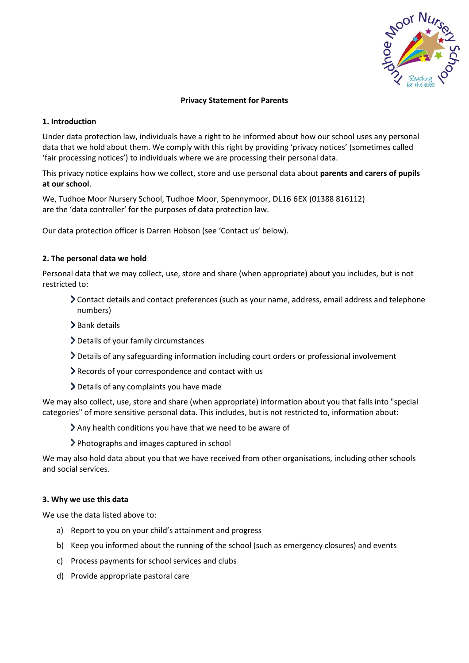

# **Privacy Statement for Parents**

### **1. Introduction**

Under data protection law, individuals have a right to be informed about how our school uses any personal data that we hold about them. We comply with this right by providing 'privacy notices' (sometimes called 'fair processing notices') to individuals where we are processing their personal data.

This privacy notice explains how we collect, store and use personal data about **parents and carers of pupils at our school**.

We, Tudhoe Moor Nursery School, Tudhoe Moor, Spennymoor, DL16 6EX (01388 816112) are the 'data controller' for the purposes of data protection law.

Our data protection officer is Darren Hobson (see 'Contact us' below).

# **2. The personal data we hold**

Personal data that we may collect, use, store and share (when appropriate) about you includes, but is not restricted to:

- Contact details and contact preferences (such as your name, address, email address and telephone numbers)
- $\blacktriangleright$  Bank details
- Details of your family circumstances
- Details of any safeguarding information including court orders or professional involvement
- Records of your correspondence and contact with us
- Details of any complaints you have made

We may also collect, use, store and share (when appropriate) information about you that falls into "special categories" of more sensitive personal data. This includes, but is not restricted to, information about:

- Any health conditions you have that we need to be aware of
- Photographs and images captured in school

We may also hold data about you that we have received from other organisations, including other schools and social services.

### **3. Why we use this data**

We use the data listed above to:

- a) Report to you on your child's attainment and progress
- b) Keep you informed about the running of the school (such as emergency closures) and events
- c) Process payments for school services and clubs
- d) Provide appropriate pastoral care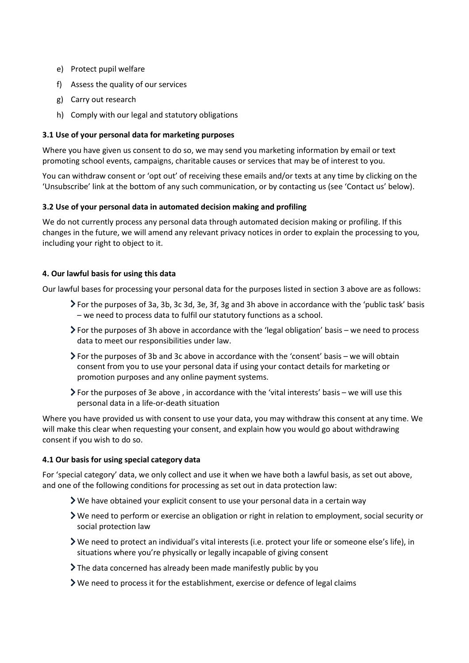- e) Protect pupil welfare
- f) Assess the quality of our services
- g) Carry out research
- h) Comply with our legal and statutory obligations

# **3.1 Use of your personal data for marketing purposes**

Where you have given us consent to do so, we may send you marketing information by email or text promoting school events, campaigns, charitable causes or services that may be of interest to you.

You can withdraw consent or 'opt out' of receiving these emails and/or texts at any time by clicking on the 'Unsubscribe' link at the bottom of any such communication, or by contacting us (see 'Contact us' below).

### **3.2 Use of your personal data in automated decision making and profiling**

We do not currently process any personal data through automated decision making or profiling. If this changes in the future, we will amend any relevant privacy notices in order to explain the processing to you, including your right to object to it.

### **4. Our lawful basis for using this data**

Our lawful bases for processing your personal data for the purposes listed in section 3 above are as follows:

- For the purposes of 3a, 3b, 3c 3d, 3e, 3f, 3g and 3h above in accordance with the 'public task' basis – we need to process data to fulfil our statutory functions as a school.
- For the purposes of 3h above in accordance with the 'legal obligation' basis we need to process data to meet our responsibilities under law.
- $\triangleright$  For the purposes of 3b and 3c above in accordance with the 'consent' basis we will obtain consent from you to use your personal data if using your contact details for marketing or promotion purposes and any online payment systems.
- For the purposes of 3e above , in accordance with the 'vital interests' basis we will use this personal data in a life-or-death situation

Where you have provided us with consent to use your data, you may withdraw this consent at any time. We will make this clear when requesting your consent, and explain how you would go about withdrawing consent if you wish to do so.

### **4.1 Our basis for using special category data**

For 'special category' data, we only collect and use it when we have both a lawful basis, as set out above, and one of the following conditions for processing as set out in data protection law:

- $\triangleright$  We have obtained your explicit consent to use your personal data in a certain way
- We need to perform or exercise an obligation or right in relation to employment, social security or social protection law
- We need to protect an individual's vital interests (i.e. protect your life or someone else's life), in situations where you're physically or legally incapable of giving consent
- The data concerned has already been made manifestly public by you
- $\triangleright$  We need to process it for the establishment, exercise or defence of legal claims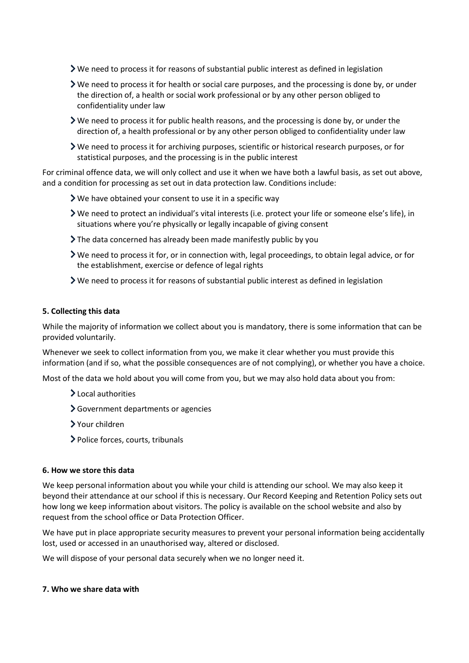- We need to process it for reasons of substantial public interest as defined in legislation
- We need to process it for health or social care purposes, and the processing is done by, or under the direction of, a health or social work professional or by any other person obliged to confidentiality under law
- We need to process it for public health reasons, and the processing is done by, or under the direction of, a health professional or by any other person obliged to confidentiality under law
- We need to process it for archiving purposes, scientific or historical research purposes, or for statistical purposes, and the processing is in the public interest

For criminal offence data, we will only collect and use it when we have both a lawful basis, as set out above, and a condition for processing as set out in data protection law. Conditions include:

- We have obtained your consent to use it in a specific way
- We need to protect an individual's vital interests (i.e. protect your life or someone else's life), in situations where you're physically or legally incapable of giving consent
- The data concerned has already been made manifestly public by you
- We need to process it for, or in connection with, legal proceedings, to obtain legal advice, or for the establishment, exercise or defence of legal rights
- We need to process it for reasons of substantial public interest as defined in legislation

# **5. Collecting this data**

While the majority of information we collect about you is mandatory, there is some information that can be provided voluntarily.

Whenever we seek to collect information from you, we make it clear whether you must provide this information (and if so, what the possible consequences are of not complying), or whether you have a choice.

Most of the data we hold about you will come from you, but we may also hold data about you from:

- > Local authorities
- Government departments or agencies
- Your children
- Police forces, courts, tribunals

### **6. How we store this data**

We keep personal information about you while your child is attending our school. We may also keep it beyond their attendance at our school if this is necessary. Our Record Keeping and Retention Policy sets out how long we keep information about visitors. The policy is available on the school website and also by request from the school office or Data Protection Officer.

We have put in place appropriate security measures to prevent your personal information being accidentally lost, used or accessed in an unauthorised way, altered or disclosed.

We will dispose of your personal data securely when we no longer need it.

### **7. Who we share data with**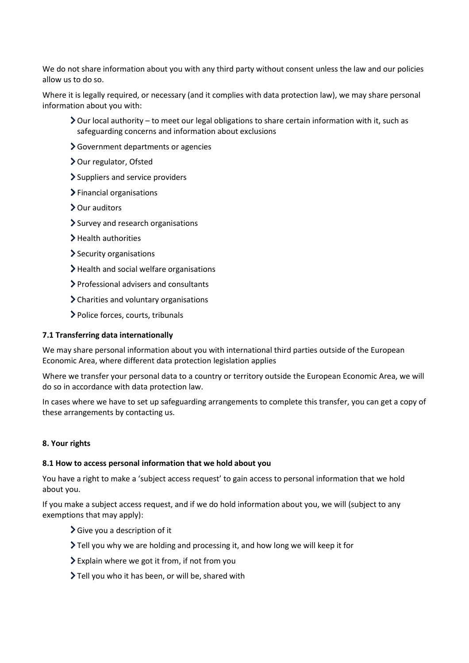We do not share information about you with any third party without consent unless the law and our policies allow us to do so.

Where it is legally required, or necessary (and it complies with data protection law), we may share personal information about you with:

- $\geq$  Our local authority to meet our legal obligations to share certain information with it, such as safeguarding concerns and information about exclusions
- Government departments or agencies
- > Our regulator, Ofsted
- > Suppliers and service providers
- > Financial organisations
- > Our auditors
- > Survey and research organisations
- > Health authorities
- Security organisations
- > Health and social welfare organisations
- Professional advisers and consultants
- Charities and voluntary organisations
- Police forces, courts, tribunals

#### **7.1 Transferring data internationally**

We may share personal information about you with international third parties outside of the European Economic Area, where different data protection legislation applies

Where we transfer your personal data to a country or territory outside the European Economic Area, we will do so in accordance with data protection law.

In cases where we have to set up safeguarding arrangements to complete this transfer, you can get a copy of these arrangements by contacting us.

#### **8. Your rights**

### **8.1 How to access personal information that we hold about you**

You have a right to make a 'subject access request' to gain access to personal information that we hold about you.

If you make a subject access request, and if we do hold information about you, we will (subject to any exemptions that may apply):

- $\sum$  Give you a description of it
- Tell you why we are holding and processing it, and how long we will keep it for
- Explain where we got it from, if not from you
- Tell you who it has been, or will be, shared with